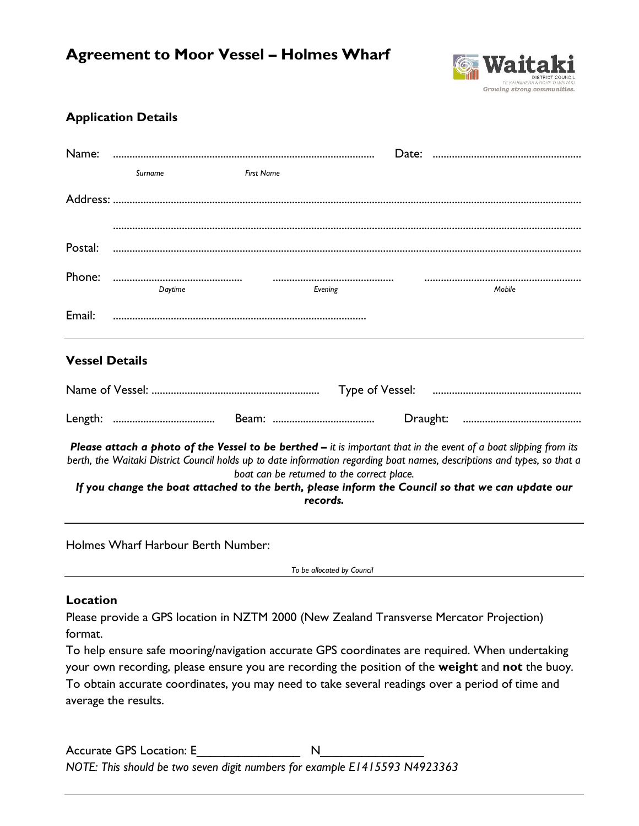# **Agreement to Moor Vessel – Holmes Wharf**



### **Application Details**

| Name:                                                                                                                                                                                                                                                                                                                                                                                                        |         |                   |         |  |        |  |  |  |
|--------------------------------------------------------------------------------------------------------------------------------------------------------------------------------------------------------------------------------------------------------------------------------------------------------------------------------------------------------------------------------------------------------------|---------|-------------------|---------|--|--------|--|--|--|
|                                                                                                                                                                                                                                                                                                                                                                                                              | Surname | <b>First Name</b> |         |  |        |  |  |  |
|                                                                                                                                                                                                                                                                                                                                                                                                              |         |                   |         |  |        |  |  |  |
|                                                                                                                                                                                                                                                                                                                                                                                                              |         |                   |         |  |        |  |  |  |
| Postal:                                                                                                                                                                                                                                                                                                                                                                                                      |         |                   |         |  |        |  |  |  |
| Phone:                                                                                                                                                                                                                                                                                                                                                                                                       |         |                   |         |  |        |  |  |  |
|                                                                                                                                                                                                                                                                                                                                                                                                              | Daytime |                   | Evening |  | Mobile |  |  |  |
| Email:                                                                                                                                                                                                                                                                                                                                                                                                       |         |                   |         |  |        |  |  |  |
|                                                                                                                                                                                                                                                                                                                                                                                                              |         |                   |         |  |        |  |  |  |
| <b>Vessel Details</b>                                                                                                                                                                                                                                                                                                                                                                                        |         |                   |         |  |        |  |  |  |
|                                                                                                                                                                                                                                                                                                                                                                                                              |         |                   |         |  |        |  |  |  |
|                                                                                                                                                                                                                                                                                                                                                                                                              |         |                   |         |  |        |  |  |  |
| Please attach a photo of the Vessel to be berthed - it is important that in the event of a boat slipping from its<br>berth, the Waitaki District Council holds up to date information regarding boat names, descriptions and types, so that a<br>boat can be returned to the correct place.<br>If you change the boat attached to the berth, please inform the Council so that we can update our<br>records. |         |                   |         |  |        |  |  |  |
| Holmes Wharf Harbour Berth Number:                                                                                                                                                                                                                                                                                                                                                                           |         |                   |         |  |        |  |  |  |
| To be allocated by Council                                                                                                                                                                                                                                                                                                                                                                                   |         |                   |         |  |        |  |  |  |
| Location                                                                                                                                                                                                                                                                                                                                                                                                     |         |                   |         |  |        |  |  |  |
| Please provide a GPS location in NZTM 2000 (New Zealand Transverse Mercator Projection)                                                                                                                                                                                                                                                                                                                      |         |                   |         |  |        |  |  |  |
| format.<br>To help ensure safe mooring/navigation accurate GPS coordinates are required. When undertaking                                                                                                                                                                                                                                                                                                    |         |                   |         |  |        |  |  |  |
| your own recording, please ensure you are recording the position of the weight and not the buoy.                                                                                                                                                                                                                                                                                                             |         |                   |         |  |        |  |  |  |
| To obtain accurate coordinates, you may need to take several readings over a period of time and                                                                                                                                                                                                                                                                                                              |         |                   |         |  |        |  |  |  |
| average the results.                                                                                                                                                                                                                                                                                                                                                                                         |         |                   |         |  |        |  |  |  |

Accurate GPS Location: E\_\_\_\_\_\_\_\_\_\_\_\_\_\_\_ N\_\_\_\_\_\_\_\_\_\_\_\_\_\_\_ *NOTE: This should be two seven digit numbers for example E1415593 N4923363*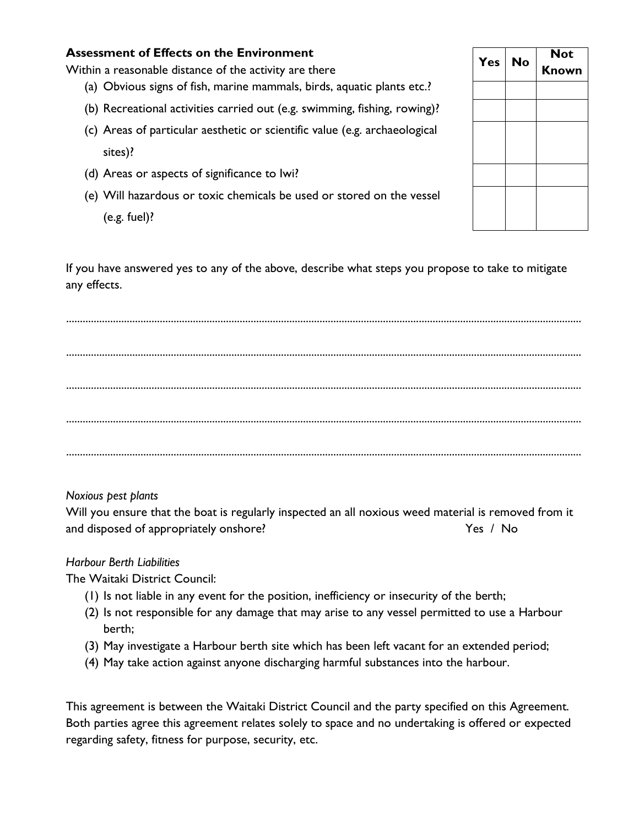#### **Assessment of Effects on the Environment**

Within a reasonable distance of the activity are there

- (a) Obvious signs of fish, marine mammals, birds, aquatic plants etc.?
- (b) Recreational activities carried out (e.g. swimming, fishing, rowing)?
- (c) Areas of particular aesthetic or scientific value (e.g. archaeological sites)?
- (d) Areas or aspects of significance to Iwi?
- (e) Will hazardous or toxic chemicals be used or stored on the vessel (e.g. fuel)?

| <b>Yes</b> | <b>No</b> | <b>Not</b><br><b>Known</b> |  |  |
|------------|-----------|----------------------------|--|--|
|            |           |                            |  |  |
|            |           |                            |  |  |
|            |           |                            |  |  |
|            |           |                            |  |  |
|            |           |                            |  |  |
|            |           |                            |  |  |
|            |           |                            |  |  |

If you have answered yes to any of the above, describe what steps you propose to take to mitigate any effects.

........................................................................................................................................................................................... ........................................................................................................................................................................................... ........................................................................................................................................................................................... ........................................................................................................................................................................................... ...........................................................................................................................................................................................

*Noxious pest plants*

Will you ensure that the boat is regularly inspected an all noxious weed material is removed from it and disposed of appropriately onshore? The state of the Yes / No

#### *Harbour Berth Liabilities*

The Waitaki District Council:

- (1) Is not liable in any event for the position, inefficiency or insecurity of the berth;
- (2) Is not responsible for any damage that may arise to any vessel permitted to use a Harbour berth;
- (3) May investigate a Harbour berth site which has been left vacant for an extended period;
- (4) May take action against anyone discharging harmful substances into the harbour.

This agreement is between the Waitaki District Council and the party specified on this Agreement. Both parties agree this agreement relates solely to space and no undertaking is offered or expected regarding safety, fitness for purpose, security, etc.